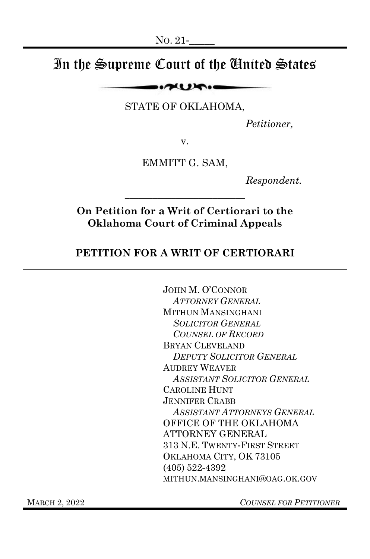# In the Supreme Court of the United States

 $\sim$ 

STATE OF OKLAHOMA,

*Petitioner,*

v.

EMMITT G. SAM,

*Respondent.*

**On Petition for a Writ of Certiorari to the Oklahoma Court of Criminal Appeals**

\_\_\_\_\_\_\_\_\_\_\_\_\_\_\_\_\_\_\_\_\_\_\_\_\_\_

### **PETITION FOR A WRIT OF CERTIORARI**

JOHN M. O'CONNOR *ATTORNEY GENERAL* MITHUN MANSINGHANI *SOLICITOR GENERAL COUNSEL OF RECORD*  BRYAN CLEVELAND *DEPUTY SOLICITOR GENERAL* AUDREY WEAVER *ASSISTANT SOLICITOR GENERAL* CAROLINE HUNT JENNIFER CRABB *ASSISTANT ATTORNEYS GENERAL* OFFICE OF THE OKLAHOMA ATTORNEY GENERAL 313 N.E. TWENTY-FIRST STREET OKLAHOMA CITY, OK 73105 (405) 522-4392 MITHUN.MANSINGHANI@OAG.OK.GOV

MARCH 2, 2022 *COUNSEL FOR PETITIONER*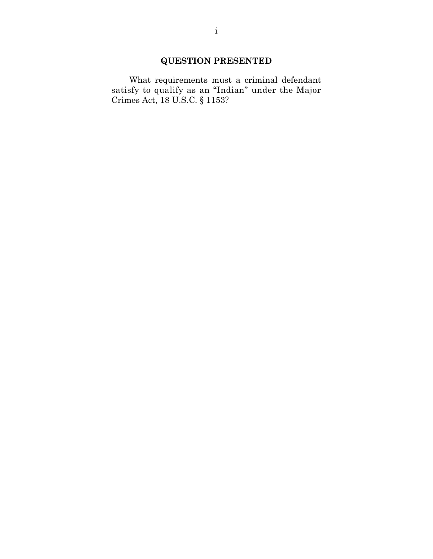### **QUESTION PRESENTED**

What requirements must a criminal defendant satisfy to qualify as an "Indian" under the Major Crimes Act, 18 U.S.C. § 1153?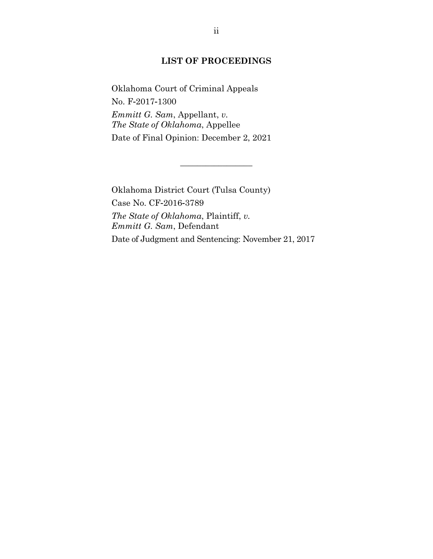### **LIST OF PROCEEDINGS**

Oklahoma Court of Criminal Appeals No. F-2017-1300 *Emmitt G. Sam*, Appellant, *v. The State of Oklahoma*, Appellee Date of Final Opinion: December 2, 2021

Oklahoma District Court (Tulsa County) Case No. CF-2016-3789 *The State of Oklahoma*, Plaintiff, *v. Emmitt G. Sam*, Defendant Date of Judgment and Sentencing: November 21, 2017

 $\overline{\phantom{a}}$  , where  $\overline{\phantom{a}}$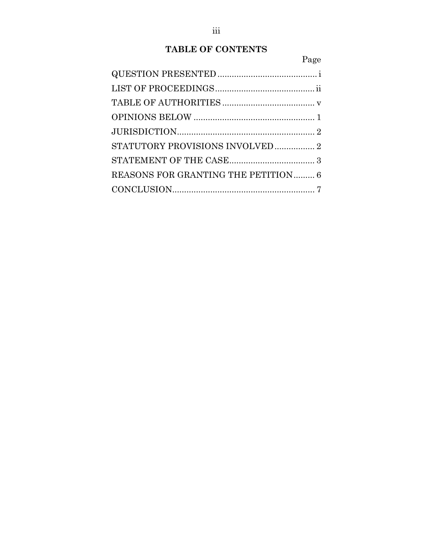# **TABLE OF CONTENTS**

|--|

| STATUTORY PROVISIONS INVOLVED  2    |  |
|-------------------------------------|--|
|                                     |  |
| REASONS FOR GRANTING THE PETITION 6 |  |
|                                     |  |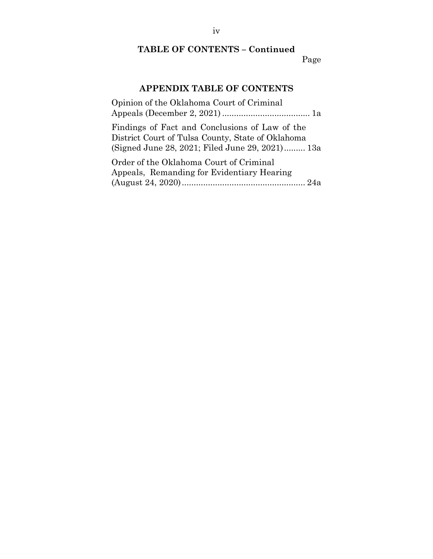# **TABLE OF CONTENTS – Continued**

# Page

# **APPENDIX TABLE OF CONTENTS**

| Opinion of the Oklahoma Court of Criminal         |
|---------------------------------------------------|
|                                                   |
| Findings of Fact and Conclusions of Law of the    |
| District Court of Tulsa County, State of Oklahoma |
| (Signed June 28, 2021; Filed June 29, 2021) 13a   |
| Order of the Oklahoma Court of Criminal           |
| Appeals, Remanding for Evidentiary Hearing        |
|                                                   |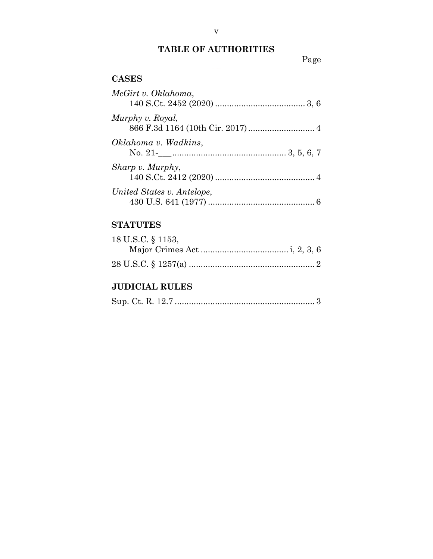# **TABLE OF AUTHORITIES**

# Page

# **CASES**

| McGirt v. Oklahoma,        |
|----------------------------|
| Murphy v. Royal,           |
| Oklahoma v. Wadkins,       |
| Sharp v. Murphy,           |
| United States v. Antelope, |

# **STATUTES**

| 18 U.S.C. § 1153, |  |
|-------------------|--|
|                   |  |
|                   |  |

# **JUDICIAL RULES**

|--|--|--|--|--|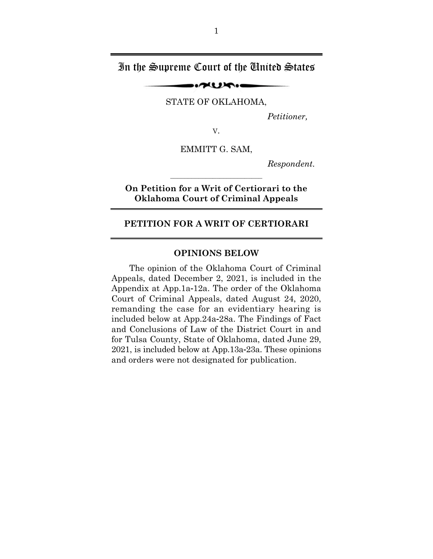### In the Supreme Court of the United States

STATE OF OKLAHOMA,

 $\sim$ 

 *Petitioner,* 

V.

EMMITT G. SAM,

 *Respondent.* 

**On Petition for a Writ of Certiorari to the Oklahoma Court of Criminal Appeals** 

#### **PETITION FOR A WRIT OF CERTIORARI**

#### **OPINIONS BELOW**

The opinion of the Oklahoma Court of Criminal Appeals, dated December 2, 2021, is included in the Appendix at App.1a-12a. The order of the Oklahoma Court of Criminal Appeals, dated August 24, 2020, remanding the case for an evidentiary hearing is included below at App.24a-28a. The Findings of Fact and Conclusions of Law of the District Court in and for Tulsa County, State of Oklahoma, dated June 29, 2021, is included below at App.13a-23a. These opinions and orders were not designated for publication.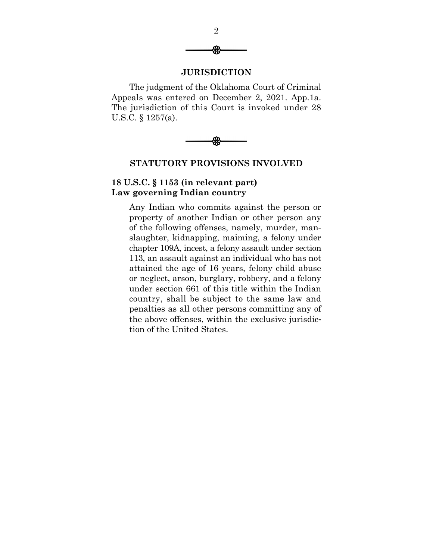

#### **JURISDICTION**

The judgment of the Oklahoma Court of Criminal Appeals was entered on December 2, 2021. App.1a. The jurisdiction of this Court is invoked under 28 U.S.C. § 1257(a).



#### **STATUTORY PROVISIONS INVOLVED**

### **18 U.S.C. § 1153 (in relevant part) Law governing Indian country**

Any Indian who commits against the person or property of another Indian or other person any of the following offenses, namely, murder, manslaughter, kidnapping, maiming, a felony under chapter 109A, incest, a felony assault under section 113, an assault against an individual who has not attained the age of 16 years, felony child abuse or neglect, arson, burglary, robbery, and a felony under section 661 of this title within the Indian country, shall be subject to the same law and penalties as all other persons committing any of the above offenses, within the exclusive jurisdiction of the United States.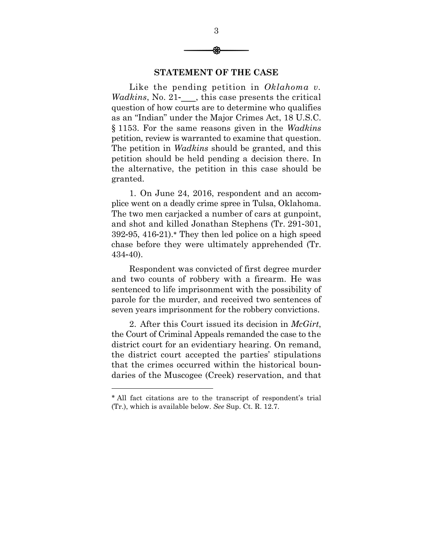

3

#### **STATEMENT OF THE CASE**

Like the pending petition in *Oklahoma v. Wadkins*, No. 21- this case presents the critical question of how courts are to determine who qualifies as an "Indian" under the Major Crimes Act, 18 U.S.C. § 1153. For the same reasons given in the *Wadkins* petition, review is warranted to examine that question. The petition in *Wadkins* should be granted, and this petition should be held pending a decision there. In the alternative, the petition in this case should be granted.

1. On June 24, 2016, respondent and an accomplice went on a deadly crime spree in Tulsa, Oklahoma. The two men carjacked a number of cars at gunpoint, and shot and killed Jonathan Stephens (Tr. 291-301,  $392-95$ ,  $416-21$ . They then led police on a high speed chase before they were ultimately apprehended (Tr. 434-40).

Respondent was convicted of first degree murder and two counts of robbery with a firearm. He was sentenced to life imprisonment with the possibility of parole for the murder, and received two sentences of seven years imprisonment for the robbery convictions.

2. After this Court issued its decision in *McGirt*, the Court of Criminal Appeals remanded the case to the district court for an evidentiary hearing. On remand, the district court accepted the parties' stipulations that the crimes occurred within the historical boundaries of the Muscogee (Creek) reservation, and that

l

All fact citations are to the transcript of respondent's trial (Tr.), which is available below. *See* Sup. Ct. R. 12.7.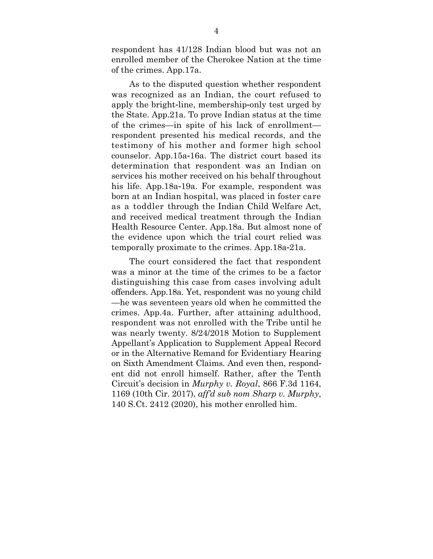respondent has 41/128 Indian blood but was not an enrolled member of the Cherokee Nation at the time of the crimes. App.17a.

As to the disputed question whether respondent was recognized as an Indian, the court refused to apply the bright-line, membership-only test urged by the State. App.21a. To prove Indian status at the time of the crimes—in spite of his lack of enrollment respondent presented his medical records, and the testimony of his mother and former high school counselor. App.15a-16a. The district court based its determination that respondent was an Indian on services his mother received on his behalf throughout his life. App.18a-19a. For example, respondent was born at an Indian hospital, was placed in foster care as a toddler through the Indian Child Welfare Act, and received medical treatment through the Indian Health Resource Center. App.18a. But almost none of the evidence upon which the trial court relied was temporally proximate to the crimes. App.18a-21a.

The court considered the fact that respondent was a minor at the time of the crimes to be a factor distinguishing this case from cases involving adult offenders. App.18a. Yet, respondent was no young child —he was seventeen years old when he committed the crimes. App.4a. Further, after attaining adulthood, respondent was not enrolled with the Tribe until he was nearly twenty. 8/24/2018 Motion to Supplement Appellant's Application to Supplement Appeal Record or in the Alternative Remand for Evidentiary Hearing on Sixth Amendment Claims. And even then, respondent did not enroll himself. Rather, after the Tenth Circuit's decision in *Murphy v. Royal*, 866 F.3d 1164, 1169 (10th Cir. 2017), *aff'd sub nom Sharp v. Murphy*, 140 S.Ct. 2412 (2020), his mother enrolled him.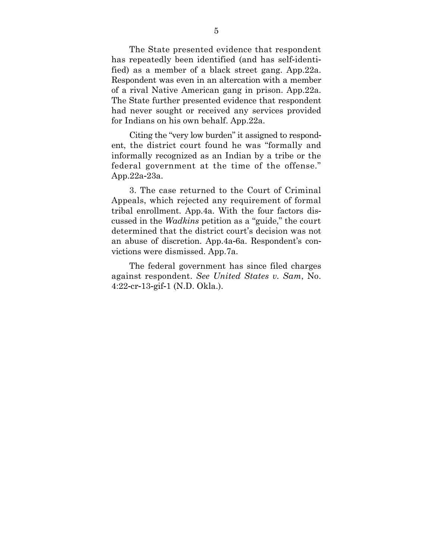The State presented evidence that respondent has repeatedly been identified (and has self-identified) as a member of a black street gang. App.22a. Respondent was even in an altercation with a member of a rival Native American gang in prison. App.22a. The State further presented evidence that respondent had never sought or received any services provided for Indians on his own behalf. App.22a.

Citing the "very low burden" it assigned to respondent, the district court found he was "formally and informally recognized as an Indian by a tribe or the federal government at the time of the offense." App.22a-23a.

3. The case returned to the Court of Criminal Appeals, which rejected any requirement of formal tribal enrollment. App.4a. With the four factors discussed in the *Wadkins* petition as a "guide," the court determined that the district court's decision was not an abuse of discretion. App.4a-6a. Respondent's convictions were dismissed. App.7a.

The federal government has since filed charges against respondent. *See United States v. Sam*, No. 4:22-cr-13-gif-1 (N.D. Okla.).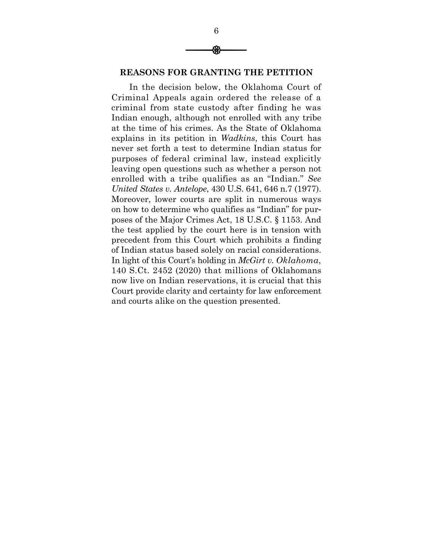

### **REASONS FOR GRANTING THE PETITION**

In the decision below, the Oklahoma Court of Criminal Appeals again ordered the release of a criminal from state custody after finding he was Indian enough, although not enrolled with any tribe at the time of his crimes. As the State of Oklahoma explains in its petition in *Wadkins*, this Court has never set forth a test to determine Indian status for purposes of federal criminal law, instead explicitly leaving open questions such as whether a person not enrolled with a tribe qualifies as an "Indian." *See United States v. Antelope*, 430 U.S. 641, 646 n.7 (1977). Moreover, lower courts are split in numerous ways on how to determine who qualifies as "Indian" for purposes of the Major Crimes Act, 18 U.S.C. § 1153. And the test applied by the court here is in tension with precedent from this Court which prohibits a finding of Indian status based solely on racial considerations. In light of this Court's holding in *McGirt v. Oklahoma*, 140 S.Ct. 2452 (2020) that millions of Oklahomans now live on Indian reservations, it is crucial that this Court provide clarity and certainty for law enforcement and courts alike on the question presented.